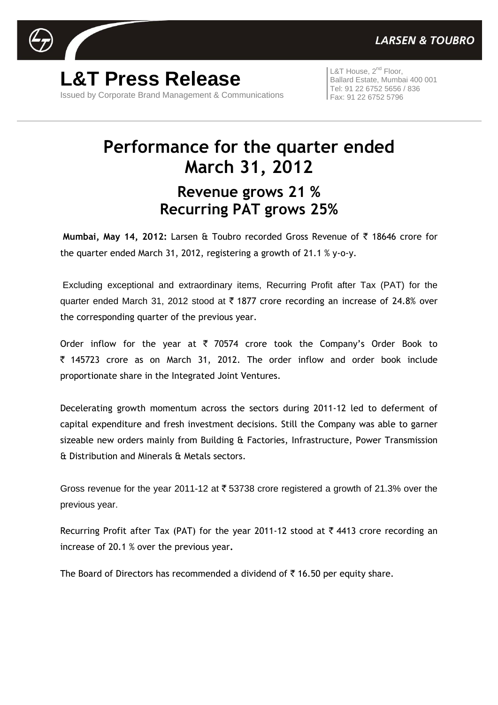

**L&T Press Release** Issued by Corporate Brand Management & Communications

L&T House, 2<sup>nd</sup> Floor, Ballard Estate, Mumbai 400 001 Tel: 91 22 6752 5656 / 836 Fax: 91 22 6752 5796

# **Performance for the quarter ended March 31, 2012 Revenue grows 21 % Recurring PAT grows 25%**

**Mumbai, May 14, 2012: Larsen & Toubro recorded Gross Revenue of ₹ 18646 crore for** the quarter ended March 31, 2012, registering a growth of 21.1 % y-o-y.

Excluding exceptional and extraordinary items, Recurring Profit after Tax (PAT) for the quarter ended March 31, 2012 stood at  $\bar{\tau}$  1877 crore recording an increase of 24.8% over the corresponding quarter of the previous year.

Order inflow for the year at  $\bar{\tau}$  70574 crore took the Company's Order Book to ` 145723 crore as on March 31, 2012. The order inflow and order book include proportionate share in the Integrated Joint Ventures.

Decelerating growth momentum across the sectors during 2011-12 led to deferment of capital expenditure and fresh investment decisions. Still the Company was able to garner sizeable new orders mainly from Building & Factories, Infrastructure, Power Transmission & Distribution and Minerals & Metals sectors.

Gross revenue for the year 2011-12 at  $\bar{\tau}$  53738 crore registered a growth of 21.3% over the previous year.

Recurring Profit after Tax (PAT) for the year 2011-12 stood at  $\bar{\tau}$  4413 crore recording an increase of 20.1 % over the previous year**.**

The Board of Directors has recommended a dividend of  $\bar{\tau}$  16.50 per equity share.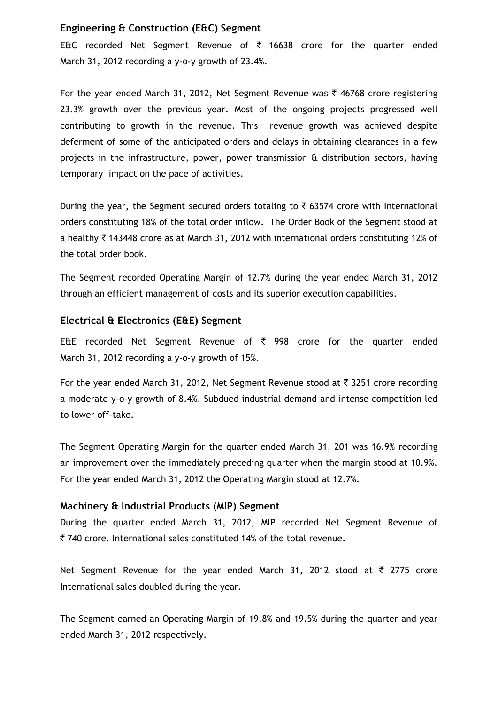#### **Engineering & Construction (E&C) Segment**

E&C recorded Net Segment Revenue of  $\bar{\tau}$  16638 crore for the quarter ended March 31, 2012 recording a y-o-y growth of 23.4%.

For the year ended March 31, 2012, Net Segment Revenue was  $\bar{\tau}$  46768 crore registering 23.3% growth over the previous year. Most of the ongoing projects progressed well contributing to growth in the revenue. This revenue growth was achieved despite deferment of some of the anticipated orders and delays in obtaining clearances in a few projects in the infrastructure, power, power transmission & distribution sectors, having temporary impact on the pace of activities.

During the year, the Segment secured orders totaling to  $\bar{\tau}$  63574 crore with International orders constituting 18% of the total order inflow. The Order Book of the Segment stood at a healthy  $\bar{\tau}$  143448 crore as at March 31, 2012 with international orders constituting 12% of the total order book.

The Segment recorded Operating Margin of 12.7% during the year ended March 31, 2012 through an efficient management of costs and its superior execution capabilities.

#### **Electrical & Electronics (E&E) Segment**

E&E recorded Net Segment Revenue of  $\bar{\tau}$  998 crore for the quarter ended March 31, 2012 recording a y-o-y growth of 15%.

For the year ended March 31, 2012, Net Segment Revenue stood at  $\bar{\tau}$  3251 crore recording a moderate y-o-y growth of 8.4%. Subdued industrial demand and intense competition led to lower off-take.

The Segment Operating Margin for the quarter ended March 31, 201 was 16.9% recording an improvement over the immediately preceding quarter when the margin stood at 10.9%. For the year ended March 31, 2012 the Operating Margin stood at 12.7%.

#### **Machinery & Industrial Products (MIP) Segment**

During the quarter ended March 31, 2012, MIP recorded Net Segment Revenue of ` 740 crore. International sales constituted 14% of the total revenue.

Net Segment Revenue for the year ended March 31, 2012 stood at  $\bar{\tau}$  2775 crore International sales doubled during the year.

The Segment earned an Operating Margin of 19.8% and 19.5% during the quarter and year ended March 31, 2012 respectively.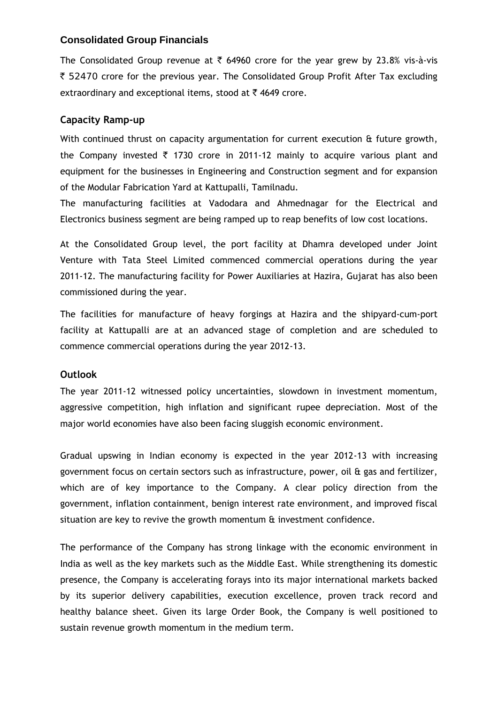# **Consolidated Group Financials**

The Consolidated Group revenue at  $\bar{\tau}$  64960 crore for the year grew by 23.8% vis-à-vis ₹ 52470 crore for the previous year. The Consolidated Group Profit After Tax excluding extraordinary and exceptional items, stood at  $\bar{\tau}$  4649 crore.

# **Capacity Ramp-up**

With continued thrust on capacity argumentation for current execution & future growth, the Company invested  $\bar{\tau}$  1730 crore in 2011-12 mainly to acquire various plant and equipment for the businesses in Engineering and Construction segment and for expansion of the Modular Fabrication Yard at Kattupalli, Tamilnadu.

The manufacturing facilities at Vadodara and Ahmednagar for the Electrical and Electronics business segment are being ramped up to reap benefits of low cost locations.

At the Consolidated Group level, the port facility at Dhamra developed under Joint Venture with Tata Steel Limited commenced commercial operations during the year 2011-12. The manufacturing facility for Power Auxiliaries at Hazira, Gujarat has also been commissioned during the year.

The facilities for manufacture of heavy forgings at Hazira and the shipyard-cum-port facility at Kattupalli are at an advanced stage of completion and are scheduled to commence commercial operations during the year 2012-13.

# **Outlook**

The year 2011-12 witnessed policy uncertainties, slowdown in investment momentum, aggressive competition, high inflation and significant rupee depreciation. Most of the major world economies have also been facing sluggish economic environment.

Gradual upswing in Indian economy is expected in the year 2012-13 with increasing government focus on certain sectors such as infrastructure, power, oil & gas and fertilizer, which are of key importance to the Company. A clear policy direction from the government, inflation containment, benign interest rate environment, and improved fiscal situation are key to revive the growth momentum & investment confidence.

The performance of the Company has strong linkage with the economic environment in India as well as the key markets such as the Middle East. While strengthening its domestic presence, the Company is accelerating forays into its major international markets backed by its superior delivery capabilities, execution excellence, proven track record and healthy balance sheet. Given its large Order Book, the Company is well positioned to sustain revenue growth momentum in the medium term.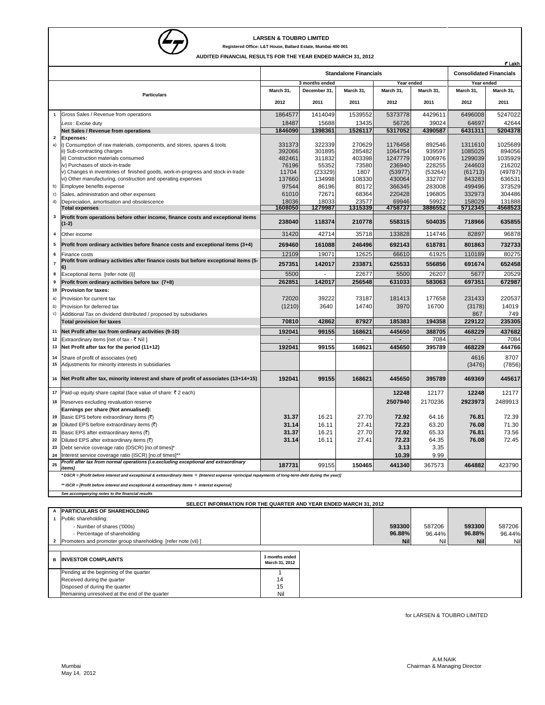

**LARSEN & TOUBRO LIMITED**<br>Registered Office: L&T House, Ballard Estate, Mumbai **Registered Office: L&T House, Ballard Estate, Mumbai 400 001**

**AUDITED FINANCIAL RESULTS FOR THE YEAR ENDED MARCH 31, 2012**

|                         | ₹ Lakh                                                                                                                                               |                                  |                  |                  |                    |                                |                    |                   |  |
|-------------------------|------------------------------------------------------------------------------------------------------------------------------------------------------|----------------------------------|------------------|------------------|--------------------|--------------------------------|--------------------|-------------------|--|
|                         |                                                                                                                                                      | <b>Standalone Financials</b>     |                  |                  |                    | <b>Consolidated Financials</b> |                    |                   |  |
|                         |                                                                                                                                                      |                                  | 3 months ended   |                  | Year ended         |                                | Year ended         |                   |  |
| <b>Particulars</b>      |                                                                                                                                                      | March 31,                        | December 31,     | March 31,        | March 31,          | March 31,                      | March 31,          | March 31,         |  |
|                         |                                                                                                                                                      | 2012                             | 2011             | 2011             | 2012               | 2011                           | 2012               | 2011              |  |
| 1                       | Gross Sales / Revenue from operations                                                                                                                | 1864577                          | 1414049          | 1539552          | 5373778            | 4429611                        | 6496008            | 5247022           |  |
|                         | Less: Excise duty                                                                                                                                    | 18487                            | 15688            | 13435            | 56726              | 39024                          | 64697              | 42644             |  |
|                         | Net Sales / Revenue from operations                                                                                                                  | 1846090                          | 1398361          | 1526117          | 5317052            | 4390587                        | 6431311            | 5204378           |  |
| 2                       | <b>Expenses:</b>                                                                                                                                     |                                  |                  |                  |                    |                                |                    |                   |  |
| a)                      | i) Consumption of raw materials, components, and stores, spares & tools                                                                              | 331373                           | 322339           | 270629           | 1176458            | 892546                         | 1311610            | 1025689           |  |
|                         | ii) Sub-contracting charges<br>iii) Construction materials consumed                                                                                  | 392066<br>482461                 | 301895<br>311832 | 285482<br>403398 | 1064754<br>1247779 | 939597<br>1006976              | 1085025<br>1299039 | 894056<br>1035929 |  |
|                         | iv) Purchases of stock-in-trade                                                                                                                      | 76196                            | 55352            | 73580            | 236940             | 228255                         | 244603             | 216202            |  |
|                         | v) Changes in inventories of finished goods, work-in-progress and stock-in-trade                                                                     | 11704                            | (23329)          | 1807             | (53977)            | (53264)                        | (61713)            | (49787)           |  |
|                         | vi) Other manufacturing, construction and operating expenses                                                                                         | 137660                           | 134998           | 108330           | 430064             | 332707                         | 843283             | 636531            |  |
| b)                      | Employee benefits expense                                                                                                                            | 97544                            | 86196            | 80172            | 366345             | 283008                         | 499496             | 373529            |  |
| c)                      | Sales, administration and other expenses                                                                                                             | 61010                            | 72671            | 68364            | 220428             | 196805                         | 332973             | 304486            |  |
| d)                      | Depreciation, amortisation and obsolescence                                                                                                          | 18036                            | 18033            | 23577            | 69946              | 59922                          | 158029             | 131888            |  |
|                         | <b>Total expenses</b>                                                                                                                                | 1608050                          | 1279987          | 1315339          | 4758737            | 3886552                        | 5712345            | 4568523           |  |
| 3                       | Profit from operations before other income, finance costs and exceptional items<br>(1-2)                                                             | 238040                           | 118374           | 210778           | 558315             | 504035                         | 718966             | 635855            |  |
| 4                       | Other income                                                                                                                                         | 31420                            | 42714            | 35718            | 133828             | 114746                         | 82897              | 96878             |  |
| 5                       | Profit from ordinary activities before finance costs and exceptional items (3+4)                                                                     | 269460                           | 161088           | 246496           | 692143             | 618781                         | 801863             | 732733            |  |
| 6                       |                                                                                                                                                      | 12109                            | 19071            | 12625            | 66610              | 61925                          | 110189             | 80275             |  |
|                         | Finance costs<br>Profit from ordinary activities after finance costs but before exceptional items (5-                                                |                                  |                  |                  |                    |                                |                    |                   |  |
| $\overline{\mathbf{r}}$ | 6)                                                                                                                                                   | 257351                           | 142017           | 233871           | 625533             | 556856                         | 691674             | 652458            |  |
| 8                       | Exceptional items [refer note (i)]                                                                                                                   | 5500                             |                  | 22677            | 5500               | 26207                          | 5677               | 20529             |  |
| 9                       | Profit from ordinary activities before tax (7+8)                                                                                                     | 262851                           | 142017           | 256548           | 631033             | 583063                         | 697351             | 672987            |  |
| 10                      | Provision for taxes:                                                                                                                                 |                                  |                  |                  |                    |                                |                    |                   |  |
| a)                      | Provision for current tax                                                                                                                            | 72020                            | 39222            | 73187            | 181413             | 177658                         | 231433             | 220537            |  |
| b)                      | Provision for deferred tax                                                                                                                           | (1210)                           | 3640             | 14740            | 3970               | 16700                          | (3178)             | 14019             |  |
| c)                      | Additional Tax on dividend distributed / proposed by subsidiaries                                                                                    |                                  |                  |                  |                    |                                | 867                | 749               |  |
|                         | <b>Total provision for taxes</b>                                                                                                                     | 70810                            | 42862            | 87927            | 185383             | 194358                         | 229122             | 235305            |  |
|                         | 168621<br>445650<br>388705<br>437682<br>Net Profit after tax from ordinary activities (9-10)<br>192041<br>99155<br>468229                            |                                  |                  |                  |                    |                                |                    |                   |  |
| 11                      |                                                                                                                                                      |                                  |                  |                  |                    |                                |                    |                   |  |
| 12                      | Extraordinary items [net of tax - ₹ Nil]                                                                                                             |                                  |                  |                  |                    | 7084                           |                    | 7084              |  |
| 13                      | Net Profit after tax for the period (11+12)                                                                                                          | 192041                           | 99155            | 168621           | 445650             | 395789                         | 468229             | 444766            |  |
|                         |                                                                                                                                                      |                                  |                  |                  |                    |                                |                    |                   |  |
| 14<br>15                | Share of profit of associates (net)                                                                                                                  |                                  |                  |                  |                    |                                | 4616               | 8707              |  |
|                         | Adjustments for minority interests in subsidiaries                                                                                                   |                                  |                  |                  |                    |                                | (3476)             | (7856)            |  |
|                         | 16 Net Profit after tax, minority interest and share of profit of associates (13+14+15)                                                              | 192041                           | 99155            | 168621           | 445650             | 395789                         | 469369             | 445617            |  |
| 17                      |                                                                                                                                                      |                                  |                  |                  | 12248              |                                |                    |                   |  |
|                         | Paid-up equity share capital (face value of share: ₹2 each)                                                                                          |                                  |                  |                  |                    | 12177                          | 12248              | 12177             |  |
| 18                      | Reserves excluding revaluation reserve                                                                                                               |                                  |                  |                  | 2507940            | 2170236                        | 2923973            | 2489913           |  |
|                         | Earnings per share (Not annualised):                                                                                                                 |                                  |                  |                  |                    |                                |                    |                   |  |
| 19                      | Basic EPS before extraordinary items (₹)                                                                                                             | 31.37                            | 16.21            | 27.70            | 72.92              | 64.16                          | 76.81              | 72.39             |  |
| 20<br>21                | Diluted EPS before extraordinary items (₹)                                                                                                           | 31.14                            | 16.11            | 27.41            | 72.23              | 63.20                          | 76.08              | 71.30             |  |
|                         | Basic EPS after extraordinary items (₹)<br>Diluted EPS after extraordinary items (₹)                                                                 | 31.37                            | 16.21            | 27.70            | 72.92              | 65.33                          | 76.81              | 73.56             |  |
| 22<br>23                | Debt service coverage ratio (DSCR) [no.of times]*                                                                                                    | 31.14                            | 16.11            | 27.41            | 72.23<br>3.13      | 64.35<br>3.35                  | 76.08              | 72.45             |  |
| 24                      | Interest service coverage ratio (ISCR) [no.of times]**                                                                                               |                                  |                  |                  | 10.39              | 9.99                           |                    |                   |  |
|                         | Profit after tax from normal operations (i.e.excluding exceptional and extraordinar)                                                                 |                                  |                  |                  |                    |                                |                    |                   |  |
| 25                      | items)                                                                                                                                               | 187731                           | 99155            | 150465           | 441340             | 367573                         | 464882             | 423790            |  |
|                         | * DSCR = [Profit before interest and exceptional & extraordinary items + (Interest expense +principal repayments of long-term debt during the year)] |                                  |                  |                  |                    |                                |                    |                   |  |
|                         | ** ISCR = [Profit before interest and exceptional & extraordinary items + interest expense]                                                          |                                  |                  |                  |                    |                                |                    |                   |  |
|                         | See accompanying notes to the financial results                                                                                                      |                                  |                  |                  |                    |                                |                    |                   |  |
|                         | SELECT INFORMATION FOR THE QUARTER AND YEAR ENDED MARCH 31, 2012                                                                                     |                                  |                  |                  |                    |                                |                    |                   |  |
| Α                       | PARTICULARS OF SHAREHOLDING                                                                                                                          |                                  |                  |                  |                    |                                |                    |                   |  |
| 1                       | Public shareholding:                                                                                                                                 |                                  |                  |                  |                    |                                |                    |                   |  |
|                         | - Number of shares ('000s)                                                                                                                           |                                  |                  |                  | 593300             | 587206                         | 593300             | 587206            |  |
|                         | - Percentage of shareholding                                                                                                                         |                                  |                  |                  | 96.88%             | 96.44%                         | 96.88%             | 96.44%            |  |
| 2                       | Promoters and promoter group shareholding [refer note (vii) ]                                                                                        |                                  |                  |                  | <b>Nil</b>         | Nil                            | <b>Nil</b>         | Nil               |  |
|                         |                                                                                                                                                      |                                  |                  |                  |                    |                                |                    |                   |  |
| в                       | <b>INVESTOR COMPLAINTS</b>                                                                                                                           | 3 months ended<br>March 31, 2012 |                  |                  |                    |                                |                    |                   |  |
|                         |                                                                                                                                                      |                                  |                  |                  |                    |                                |                    |                   |  |
|                         | Pending at the beginning of the quarter                                                                                                              | 1                                |                  |                  |                    |                                |                    |                   |  |
|                         | Received during the quarter<br>Disposed of during the quarter                                                                                        | 14<br>15                         |                  |                  |                    |                                |                    |                   |  |

for LARSEN & TOUBRO LIMITED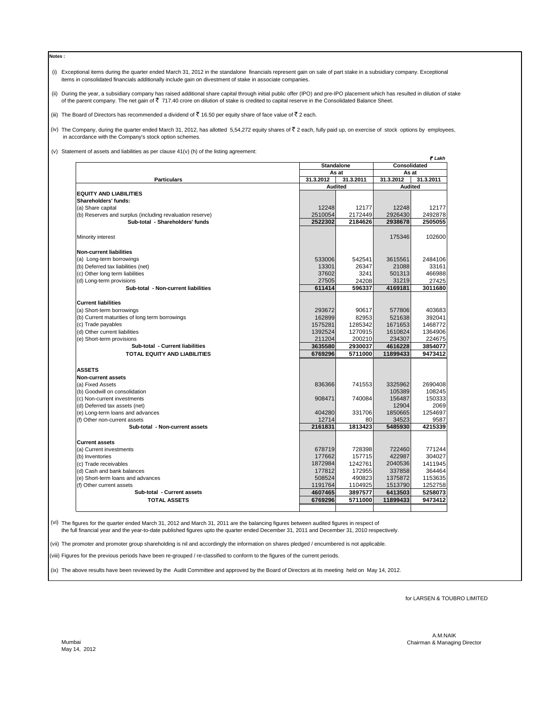**Notes :**

- (i) Exceptional items during the quarter ended March 31, 2012 in the standalone financials represent gain on sale of part stake in a subsidiary company. Exceptional items in consolidated financials additionally include gain on divestment of stake in associate companies.
- (ii) During the year, a subsidiary company has raised additional share capital through initial public offer (IPO) and pre-IPO placement which has resulted in dilution of stake of the parent company. The net gain of ₹ 717.40 crore on dilution of stake is credited to capital reserve in the Consolidated Balance Sheet.
- (iii) The Board of Directors has recommended a dividend of  $\bar{z}$  16.50 per equity share of face value of  $\bar{z}$  2 each.

(iv) The Company, during the quarter ended March 31, 2012, has allotted 5,54,272 equity shares of  $\bar{\tau}$  2 each, fully paid up, on exercise of stock options by employees, in accordance with the Company's stock option schemes.

(v) Statement of assets and liabilities as per clause 41(v) (h) of the listing agreement:

|                                                          |           |                   | ₹ Lakh         |                       |  |  |
|----------------------------------------------------------|-----------|-------------------|----------------|-----------------------|--|--|
|                                                          |           | <b>Standalone</b> |                | Consolidated<br>As at |  |  |
|                                                          |           | As at             |                |                       |  |  |
| <b>Particulars</b>                                       | 31.3.2012 | 31.3.2011         | 31.3.2012      | 31.3.2011             |  |  |
|                                                          |           | <b>Audited</b>    | <b>Audited</b> |                       |  |  |
| <b>EQUITY AND LIABILITIES</b>                            |           |                   |                |                       |  |  |
| Shareholders' funds:                                     |           |                   |                |                       |  |  |
| (a) Share capital                                        | 12248     | 12177             | 12248          | 12177                 |  |  |
| (b) Reserves and surplus (including revaluation reserve) | 2510054   | 2172449           | 2926430        | 2492878               |  |  |
| Sub-total - Shareholders' funds                          | 2522302   | 2184626           | 2938678        | 2505055               |  |  |
| Minority interest                                        |           |                   | 175346         | 102600                |  |  |
| <b>Non-current liabilities</b>                           |           |                   |                |                       |  |  |
| (a) Long-term borrowings                                 | 533006    | 542541            | 3615561        | 2484106               |  |  |
| (b) Deferred tax liabilities (net)                       | 13301     | 26347             | 21088          | 33161                 |  |  |
| (c) Other long term liabilities                          | 37602     | 3241              | 501313         | 466988                |  |  |
| (d) Long-term provisions                                 | 27505     | 24208             | 31219          | 27425                 |  |  |
| Sub-total - Non-current liabilities                      | 611414    | 596337            | 4169181        | 3011680               |  |  |
|                                                          |           |                   |                |                       |  |  |
| <b>Current liabilities</b>                               |           |                   |                |                       |  |  |
| (a) Short-term borrowings                                | 293672    | 90617             | 577806         | 403683                |  |  |
| (b) Current maturities of long term borrowings           | 162899    | 82953             | 521638         | 392041                |  |  |
| (c) Trade payables                                       | 1575281   | 1285342           | 1671653        | 1468772               |  |  |
| (d) Other current liabilities                            | 1392524   | 1270915           | 1610824        | 1364906               |  |  |
| (e) Short-term provisions                                | 211204    | 200210            | 234307         | 224675                |  |  |
| Sub-total - Current liabilities                          | 3635580   | 2930037           | 4616228        | 3854077               |  |  |
| TOTAL EQUITY AND LIABILITIES                             | 6769296   | 5711000           | 11899433       | 9473412               |  |  |
|                                                          |           |                   |                |                       |  |  |
| <b>ASSETS</b>                                            |           |                   |                |                       |  |  |
| Non-current assets                                       |           |                   |                |                       |  |  |
| (a) Fixed Assets                                         | 836366    | 741553            | 3325962        | 2690408               |  |  |
| (b) Goodwill on consolidation                            |           |                   | 105389         | 108245                |  |  |
| (c) Non-current investments                              | 908471    | 740084            | 156487         | 150333                |  |  |
| (d) Deferred tax assets (net)                            |           |                   | 12904          | 2069                  |  |  |
| (e) Long-term loans and advances                         | 404280    | 331706            | 1850665        | 1254697               |  |  |
| (f) Other non-current assets                             | 12714     | 80                | 34523          | 9587                  |  |  |
| Sub-total - Non-current assets                           | 2161831   | 1813423           | 5485930        | 4215339               |  |  |
| <b>Current assets</b>                                    |           |                   |                |                       |  |  |
| (a) Current investments                                  | 678719    | 728398            | 722460         | 771244                |  |  |
| (b) Inventories                                          | 177662    | 157715            | 422987         | 304027                |  |  |
| (c) Trade receivables                                    | 1872984   | 1242761           | 2040536        | 1411945               |  |  |
| (d) Cash and bank balances                               | 177812    | 172955            | 337858         | 364464                |  |  |
| (e) Short-term loans and advances                        | 508524    | 490823            | 1375872        | 1153635               |  |  |
|                                                          |           | 1104925           | 1513790        | 1252758               |  |  |
| (f) Other current assets                                 | 1191764   |                   |                |                       |  |  |
| Sub-total - Current assets                               | 4607465   | 3897577           | 6413503        | 5258073               |  |  |
| <b>TOTAL ASSETS</b>                                      | 6769296   | 5711000           | 11899433       | 9473412               |  |  |
|                                                          |           |                   |                |                       |  |  |

(vi) The figures for the quarter ended March 31, 2012 and March 31, 2011 are the balancing figures between audited figures in respect of

the full financial year and the year-to-date published figures upto the quarter ended December 31, 2011 and December 31, 2010 respectively.

(vii) The promoter and promoter group shareholding is nil and accordingly the information on shares pledged / encumbered is not applicable.

(viii) Figures for the previous periods have been re-grouped / re-classified to conform to the figures of the current periods.

(ix) The above results have been reviewed by the Audit Committee and approved by the Board of Directors at its meeting held on May 14, 2012.

for LARSEN & TOUBRO LIMITED

 A.M.NAIK Mumbai Chairman & Managing Director